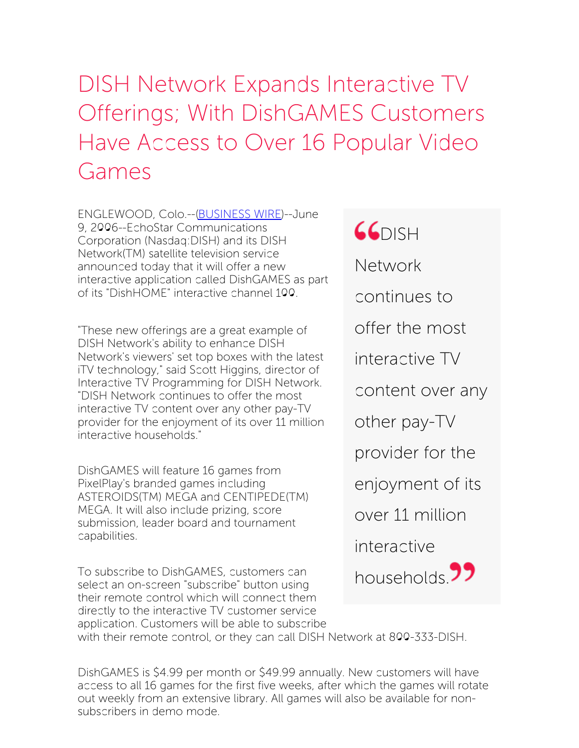## DISH Network Expands Interactive TV Offerings; With DishGAMES Customers Have Access to Over 16 Popular Video Games

ENGLEWOOD, Colo.--[\(BUSINESS](http://www.businesswire.com/) WIRE)--June 9, 2006--EchoStar Communications Corporation (Nasdaq:DISH) and its DISH Network(TM) satellite television service announced today that it will offer a new interactive application called DishGAMES as part of its "DishHOME" interactive channel 100.

"These new offerings are a great example of DISH Network's ability to enhance DISH Network's viewers' set top boxes with the latest iTV technology," said Scott Higgins, director of Interactive TV Programming for DISH Network. "DISH Network continues to offer the most interactive TV content over any other pay-TV provider for the enjoyment of its over 11 million interactive households."

DishGAMES will feature 16 games from PixelPlay's branded games including ASTEROIDS(TM) MEGA and CENTIPEDE(TM) MEGA. It will also include prizing, score submission, leader board and tournament capabilities.

To subscribe to DishGAMES, customers can select an on-screen "subscribe" button using their remote control which will connect them directly to the interactive TV customer service application. Customers will be able to subscribe **GGDISH** Network continues to offer the most interactive TV content over any other pay-TV provider for the enjoyment of its over 11 million interactive households<sup>99</sup>

with their remote control, or they can call DISH Network at 800-333-DISH.

DishGAMES is \$4.99 per month or \$49.99 annually. New customers will have access to all 16 games for the first five weeks, after which the games will rotate out weekly from an extensive library. All games will also be available for nonsubscribers in demo mode.